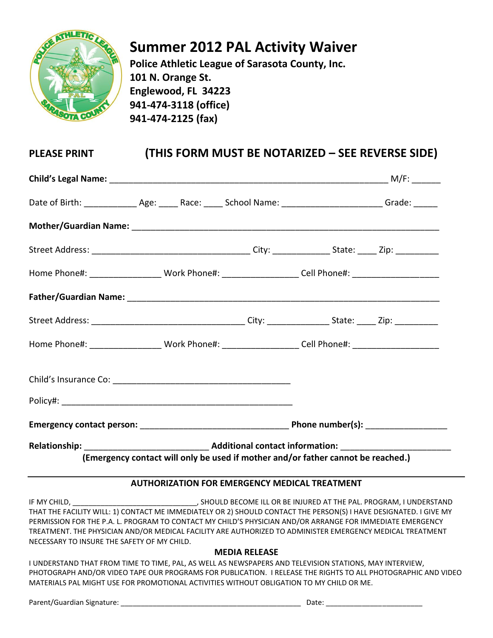

# **Summer 2012 PAL Activity Waiver**

**Police Athletic League of Sarasota County, Inc. 101 N. Orange St. Englewood, FL 34223 941-474-3118 (office) 941-474-2125 (fax)**

## **PLEASE PRINT (THIS FORM MUST BE NOTARIZED – SEE REVERSE SIDE)**

| Home Phone#: ____________________Work Phone#: _____________________Cell Phone#: ____________________      |                                                                                  |  |  |  |  |  |
|-----------------------------------------------------------------------------------------------------------|----------------------------------------------------------------------------------|--|--|--|--|--|
|                                                                                                           |                                                                                  |  |  |  |  |  |
|                                                                                                           |                                                                                  |  |  |  |  |  |
| Home Phone#: ____________________Work Phone#: ______________________Cell Phone#: ________________________ |                                                                                  |  |  |  |  |  |
|                                                                                                           |                                                                                  |  |  |  |  |  |
|                                                                                                           |                                                                                  |  |  |  |  |  |
|                                                                                                           |                                                                                  |  |  |  |  |  |
|                                                                                                           | (Emergency contact will only be used if mother and/or father cannot be reached.) |  |  |  |  |  |

### **AUTHORIZATION FOR EMERGENCY MEDICAL TREATMENT**

IF MY CHILD, THE PAL. PROGRAM, I UNDERSTAND AND RECOME ILL OR BE INJURED AT THE PAL. PROGRAM, I UNDERSTAND THAT THE FACILITY WILL: 1) CONTACT ME IMMEDIATELY OR 2) SHOULD CONTACT THE PERSON(S) I HAVE DESIGNATED. I GIVE MY PERMISSION FOR THE P.A. L. PROGRAM TO CONTACT MY CHILD'S PHYSICIAN AND/OR ARRANGE FOR IMMEDIATE EMERGENCY TREATMENT. THE PHYSICIAN AND/OR MEDICAL FACILITY ARE AUTHORIZED TO ADMINISTER EMERGENCY MEDICAL TREATMENT NECESSARY TO INSURE THE SAFETY OF MY CHILD.

#### **MEDIA RELEASE**

I UNDERSTAND THAT FROM TIME TO TIME, PAL, AS WELL AS NEWSPAPERS AND TELEVISION STATIONS, MAY INTERVIEW, PHOTOGRAPH AND/OR VIDEO TAPE OUR PROGRAMS FOR PUBLICATION. I RELEASE THE RIGHTS TO ALL PHOTOGRAPHIC AND VIDEO MATERIALS PAL MIGHT USE FOR PROMOTIONAL ACTIVITIES WITHOUT OBLIGATION TO MY CHILD OR ME.

Parent/Guardian Signature: \_\_\_\_\_\_\_\_\_\_\_\_\_\_\_\_\_\_\_\_\_\_\_\_\_\_\_\_\_\_\_\_\_\_\_\_\_\_\_\_\_\_\_\_\_ Date: \_\_\_\_\_\_\_\_\_\_\_\_\_\_\_\_\_\_\_\_\_\_\_\_